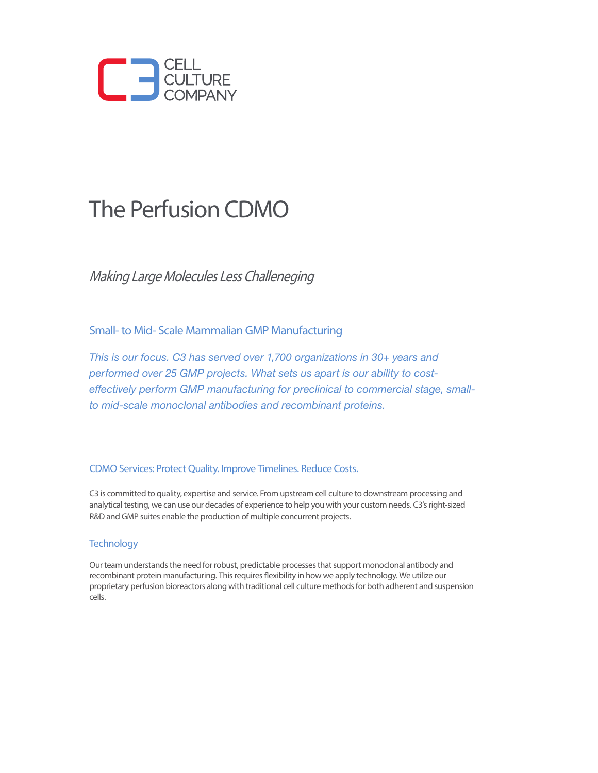

## The Perfusion CDMO

Making Large Molecules Less Challeneging

Small- to Mid- Scale Mammalian GMP Manufacturing

*This is our focus. C3 has served over 1,700 organizations in 30+ years and performed over 25 GMP projects. What sets us apart is our ability to costeffectively perform GMP manufacturing for preclinical to commercial stage, smallto mid-scale monoclonal antibodies and recombinant proteins.* 

#### CDMO Services: Protect Quality. Improve Timelines. Reduce Costs.

C3 is committed to quality, expertise and service. From upstream cell culture to downstream processing and analytical testing, we can use our decades of experience to help you with your custom needs. C3's right-sized R&D and GMP suites enable the production of multiple concurrent projects.

#### **Technology**

Our team understands the need for robust, predictable processes that support monoclonal antibody and recombinant protein manufacturing. This requires flexibility in how we apply technology. We utilize our proprietary perfusion bioreactors along with traditional cell culture methods for both adherent and suspension cells.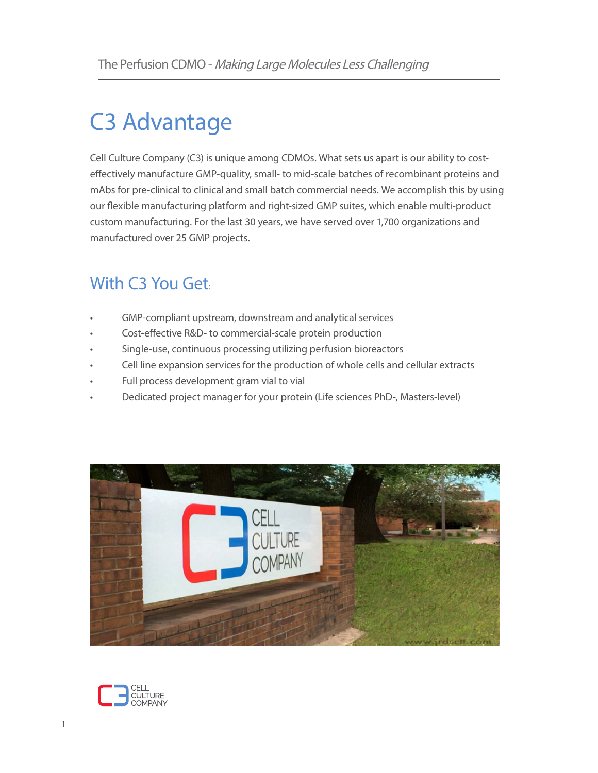# C3 Advantage

Cell Culture Company (C3) is unique among CDMOs. What sets us apart is our ability to costeffectively manufacture GMP-quality, small- to mid-scale batches of recombinant proteins and mAbs for pre-clinical to clinical and small batch commercial needs. We accomplish this by using our flexible manufacturing platform and right-sized GMP suites, which enable multi-product custom manufacturing. For the last 30 years, we have served over 1,700 organizations and manufactured over 25 GMP projects.

## With C3 You Get:

- GMP-compliant upstream, downstream and analytical services
- Cost-effective R&D- to commercial-scale protein production
- Single-use, continuous processing utilizing perfusion bioreactors
- Cell line expansion services for the production of whole cells and cellular extracts
- Full process development gram vial to vial
- Dedicated project manager for your protein (Life sciences PhD-, Masters-level)



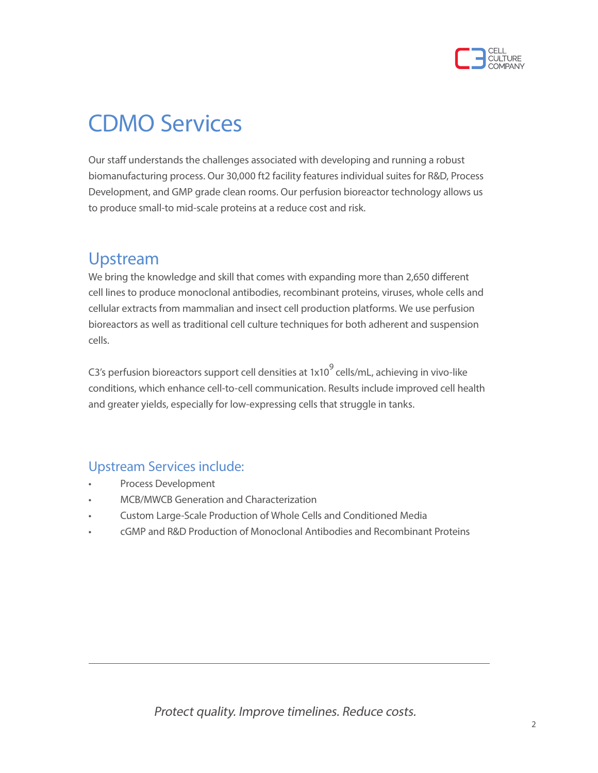

## CDMO Services

Our staff understands the challenges associated with developing and running a robust biomanufacturing process. Our 30,000 ft2 facility features individual suites for R&D, Process Development, and GMP grade clean rooms. Our perfusion bioreactor technology allows us to produce small-to mid-scale proteins at a reduce cost and risk.

### Upstream

We bring the knowledge and skill that comes with expanding more than 2,650 different cell lines to produce monoclonal antibodies, recombinant proteins, viruses, whole cells and cellular extracts from mammalian and insect cell production platforms. We use perfusion bioreactors as well as traditional cell culture techniques for both adherent and suspension cells.

C3's perfusion bioreactors support cell densities at  $1x10<sup>9</sup>$  cells/mL, achieving in vivo-like conditions, which enhance cell-to-cell communication. Results include improved cell health and greater yields, especially for low-expressing cells that struggle in tanks.

#### Upstream Services include:

- Process Development
- MCB/MWCB Generation and Characterization
- Custom Large-Scale Production of Whole Cells and Conditioned Media
- cGMP and R&D Production of Monoclonal Antibodies and Recombinant Proteins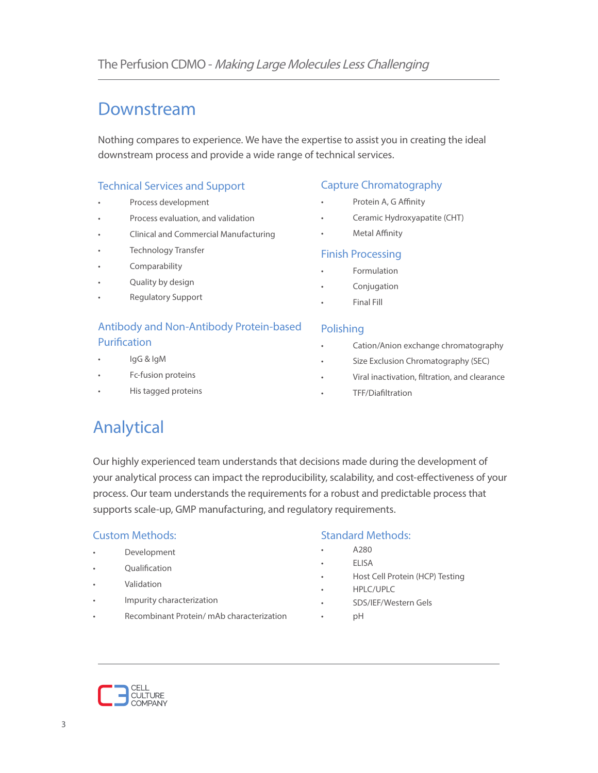## Downstream

Nothing compares to experience. We have the expertise to assist you in creating the ideal downstream process and provide a wide range of technical services.

#### Technical Services and Support

- Process development
- Process evaluation, and validation
- Clinical and Commercial Manufacturing
- Technology Transfer
- **Comparability**
- Quality by design
- Regulatory Support

#### Antibody and Non-Antibody Protein-based Purification

- IgG & IgM
- Fc-fusion proteins
- His tagged proteins

#### Capture Chromatography

- Protein A, G Affinity
- Ceramic Hydroxyapatite (CHT)
- Metal Affinity

#### Finish Processing

- **Formulation**
- **Conjugation**
- Final Fill

#### Polishing

- Cation/Anion exchange chromatography
- Size Exclusion Chromatography (SEC)
- Viral inactivation, filtration, and clearance
- TFF/Diafiltration

## Analytical

Our highly experienced team understands that decisions made during the development of your analytical process can impact the reproducibility, scalability, and cost-effectiveness of your process. Our team understands the requirements for a robust and predictable process that supports scale-up, GMP manufacturing, and regulatory requirements.

#### Custom Methods:

- **Development**
- **Qualification**
- Validation
- Impurity characterization
- Recombinant Protein/ mAb characterization

#### Standard Methods:

- A280
- **ELISA**
- Host Cell Protein (HCP) Testing
- HPLC/UPLC
- SDS/IEF/Western Gels
	- pH

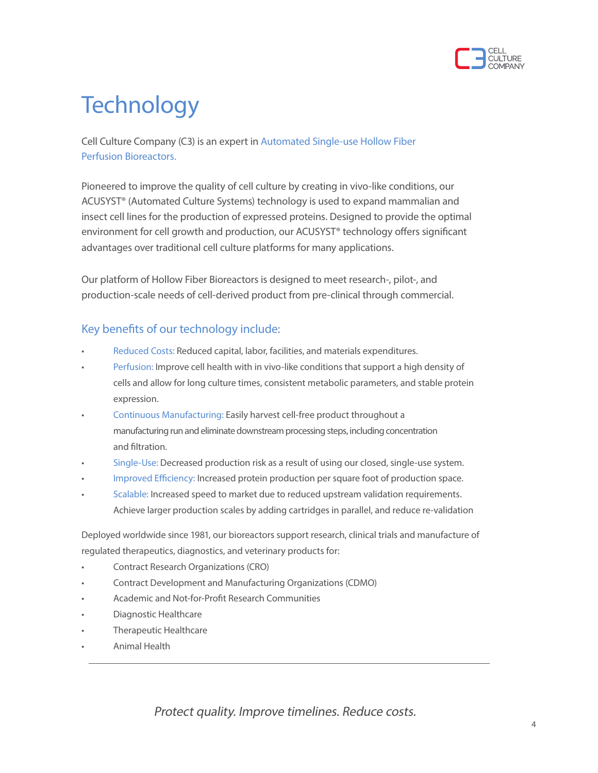

# **Technology**

Cell Culture Company (C3) is an expert in Automated Single-use Hollow Fiber Perfusion Bioreactors.

Pioneered to improve the quality of cell culture by creating in vivo-like conditions, our ACUSYST® (Automated Culture Systems) technology is used to expand mammalian and insect cell lines for the production of expressed proteins. Designed to provide the optimal environment for cell growth and production, our ACUSYST® technology offers significant advantages over traditional cell culture platforms for many applications.

Our platform of Hollow Fiber Bioreactors is designed to meet research-, pilot-, and production-scale needs of cell-derived product from pre-clinical through commercial.

#### Key benefits of our technology include:

- Reduced Costs: Reduced capital, labor, facilities, and materials expenditures.
- Perfusion: Improve cell health with in vivo-like conditions that support a high density of cells and allow for long culture times, consistent metabolic parameters, and stable protein expression.
- Continuous Manufacturing: Easily harvest cell-free product throughout a manufacturing run and eliminate downstream processing steps, including concentration and filtration.
- Single-Use: Decreased production risk as a result of using our closed, single-use system.
- Improved Efficiency: Increased protein production per square foot of production space.
- Scalable: Increased speed to market due to reduced upstream validation requirements. Achieve larger production scales by adding cartridges in parallel, and reduce re-validation

Deployed worldwide since 1981, our bioreactors support research, clinical trials and manufacture of regulated therapeutics, diagnostics, and veterinary products for:

- Contract Research Organizations (CRO)
- Contract Development and Manufacturing Organizations (CDMO)
- Academic and Not-for-Profit Research Communities
- Diagnostic Healthcare
- Therapeutic Healthcare
- Animal Health

Protect quality. Improve timelines. Reduce costs.